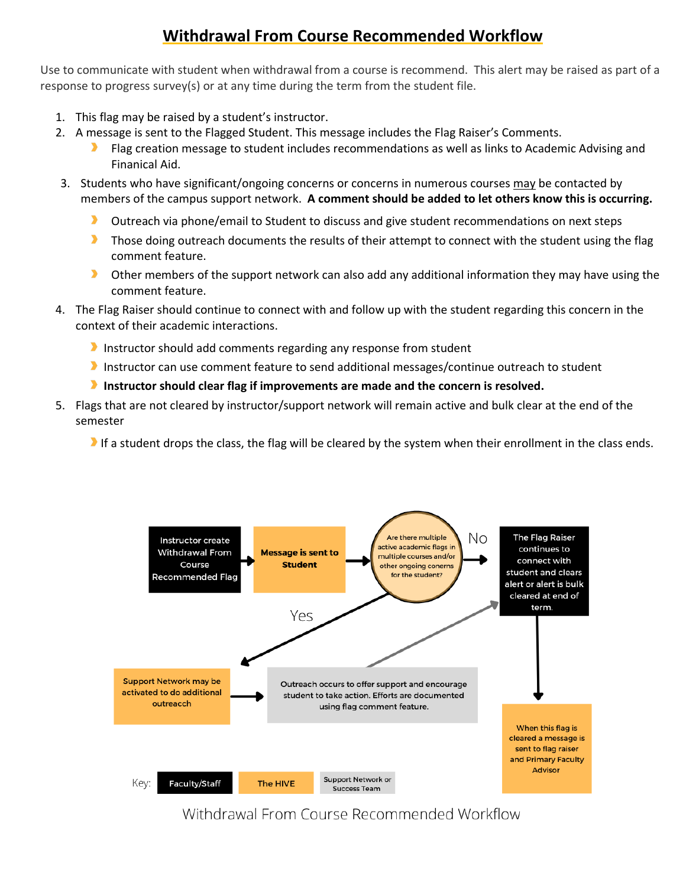# **Withdrawal From Course Recommended Workflow**

Use to communicate with student when withdrawal from a course is recommend. This alert may be raised as part of a response to progress survey(s) or at any time during the term from the student file.

- 1. This flag may be raised by a student's instructor.
- 2. A message is sent to the Flagged Student. This message includes the Flag Raiser's Comments.
	- Flag creation message to student includes recommendations as well as links to Academic Advising and Finanical Aid.
- 3. Students who have significant/ongoing concerns or concerns in numerous courses may be contacted by members of the campus support network. **A comment should be added to let others know this is occurring.**
	- $\blacktriangleright$ Outreach via phone/email to Student to discuss and give student recommendations on next steps
	- $\blacktriangleright$ Those doing outreach documents the results of their attempt to connect with the student using the flag comment feature.
	- $\blacktriangleright$ Other members of the support network can also add any additional information they may have using the comment feature.
- 4. The Flag Raiser should continue to connect with and follow up with the student regarding this concern in the context of their academic interactions.
	- Instructor should add comments regarding any response from student
	- Instructor can use comment feature to send additional messages/continue outreach to student
	- **Instructor should clear flag if improvements are made and the concern is resolved.**
- 5. Flags that are not cleared by instructor/support network will remain active and bulk clear at the end of the semester

If a student drops the class, the flag will be cleared by the system when their enrollment in the class ends.



Withdrawal From Course Recommended Workflow